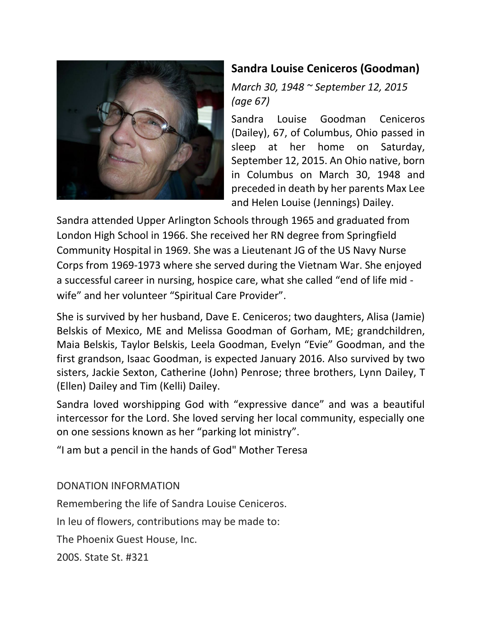

## **Sandra Louise Ceniceros (Goodman)**

*March 30, 1948 ~ September 12, 2015 (age 67)*

Sandra Louise Goodman Ceniceros (Dailey), 67, of Columbus, Ohio passed in sleep at her home on Saturday, September 12, 2015. An Ohio native, born in Columbus on March 30, 1948 and preceded in death by her parents Max Lee and Helen Louise (Jennings) Dailey.

Sandra attended Upper Arlington Schools through 1965 and graduated from London High School in 1966. She received her RN degree from Springfield Community Hospital in 1969. She was a Lieutenant JG of the US Navy Nurse Corps from 1969-1973 where she served during the Vietnam War. She enjoyed a successful career in nursing, hospice care, what she called "end of life mid wife" and her volunteer "Spiritual Care Provider".

She is survived by her husband, Dave E. Ceniceros; two daughters, Alisa (Jamie) Belskis of Mexico, ME and Melissa Goodman of Gorham, ME; grandchildren, Maia Belskis, Taylor Belskis, Leela Goodman, Evelyn "Evie" Goodman, and the first grandson, Isaac Goodman, is expected January 2016. Also survived by two sisters, Jackie Sexton, Catherine (John) Penrose; three brothers, Lynn Dailey, T (Ellen) Dailey and Tim (Kelli) Dailey.

Sandra loved worshipping God with "expressive dance" and was a beautiful intercessor for the Lord. She loved serving her local community, especially one on one sessions known as her "parking lot ministry".

"I am but a pencil in the hands of God" Mother Teresa

DONATION INFORMATION

Remembering the life of Sandra Louise Ceniceros.

In leu of flowers, contributions may be made to:

The Phoenix Guest House, Inc.

200S. State St. #321